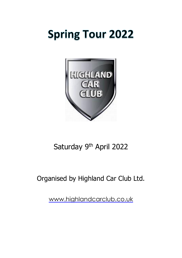# **Spring Tour 2022**



## Saturday 9<sup>th</sup> April 2022

### Organised by Highland Car Club Ltd.

[www.highlandcarclub.co.uk](http://www.highlandcarclub.co.uk/)